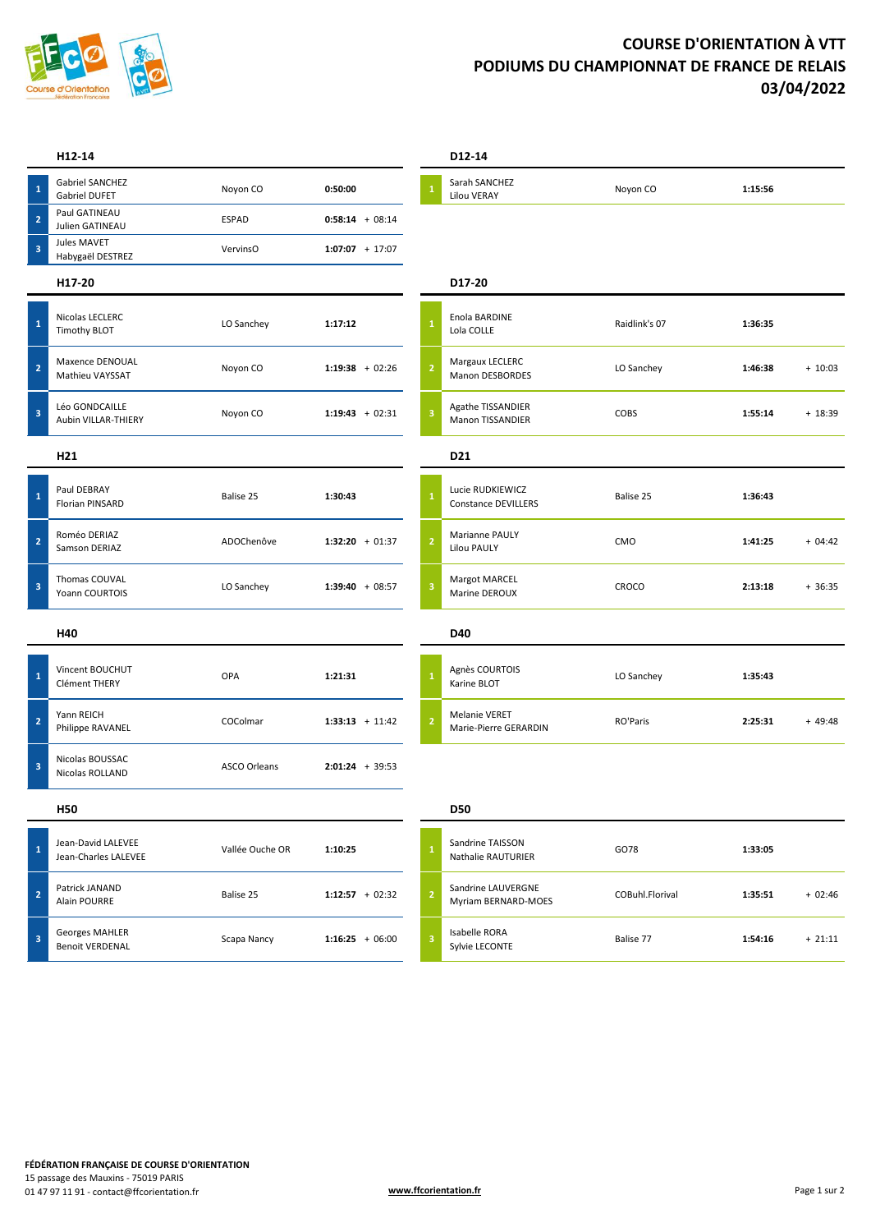

## **COURSE D'ORIENTATION À VTT PODIUMS DU CHAMPIONNAT DE FRANCE DE RELAIS 03/04/2022**

|                         | H12-14                                          |                     |                   |                | D12-14                                         |                 |         |           |
|-------------------------|-------------------------------------------------|---------------------|-------------------|----------------|------------------------------------------------|-----------------|---------|-----------|
| $\mathbf 1$             | Gabriel SANCHEZ<br>Gabriel DUFET                | Noyon CO            | 0:50:00           |                | Sarah SANCHEZ<br>Lilou VERAY                   | Noyon CO        | 1:15:56 |           |
| $\overline{\mathbf{c}}$ | Paul GATINEAU<br>Julien GATINEAU                | <b>ESPAD</b>        | $0:58:14 + 08:14$ |                |                                                |                 |         |           |
| $\overline{\mathbf{3}}$ | Jules MAVET<br>Habygaël DESTREZ                 | VervinsO            | $1:07:07 + 17:07$ |                |                                                |                 |         |           |
|                         | H17-20                                          |                     |                   |                | D17-20                                         |                 |         |           |
| $\mathbf{1}$            | Nicolas LECLERC<br><b>Timothy BLOT</b>          | LO Sanchey          | 1:17:12           |                | Enola BARDINE<br>Lola COLLE                    | Raidlink's 07   | 1:36:35 |           |
| $\overline{2}$          | Maxence DENOUAL<br>Mathieu VAYSSAT              | Noyon CO            | $1:19:38 + 02:26$ | $\overline{2}$ | Margaux LECLERC<br>Manon DESBORDES             | LO Sanchey      | 1:46:38 | $+10:03$  |
| $\mathbf 3$             | Léo GONDCAILLE<br>Aubin VILLAR-THIERY           | Noyon CO            | $1:19:43 + 02:31$ | 3              | Agathe TISSANDIER<br>Manon TISSANDIER          | COBS            | 1:55:14 | $+ 18:39$ |
|                         | H21                                             |                     |                   |                | D <sub>21</sub>                                |                 |         |           |
| $\mathbf 1$             | Paul DEBRAY<br>Florian PINSARD                  | Balise 25           | 1:30:43           |                | Lucie RUDKIEWICZ<br><b>Constance DEVILLERS</b> | Balise 25       | 1:36:43 |           |
| $\mathbf 2$             | Roméo DERIAZ<br>Samson DERIAZ                   | ADOChenôve          | $1:32:20 + 01:37$ | $\overline{2}$ | Marianne PAULY<br><b>Lilou PAULY</b>           | CMO             | 1:41:25 | $+04:42$  |
| 3                       | Thomas COUVAL<br>Yoann COURTOIS                 | LO Sanchey          | $1:39:40 + 08:57$ | 3              | Margot MARCEL<br>Marine DEROUX                 | CROCO           | 2:13:18 | $+36:35$  |
|                         | H40                                             |                     |                   |                | D40                                            |                 |         |           |
| $\mathbf{1}$            | Vincent BOUCHUT<br>Clément THERY                | OPA                 | 1:21:31           |                | Agnès COURTOIS<br>Karine BLOT                  | LO Sanchey      | 1:35:43 |           |
| $\overline{\mathbf{2}}$ | Yann REICH<br>Philippe RAVANEL                  | COColmar            | $1:33:13 + 11:42$ | $\overline{2}$ | Melanie VERET<br>Marie-Pierre GERARDIN         | RO'Paris        | 2:25:31 | $+49:48$  |
| $\mathbf 3$             | Nicolas BOUSSAC<br>Nicolas ROLLAND              | <b>ASCO Orleans</b> | $2:01:24 + 39:53$ |                |                                                |                 |         |           |
|                         | <b>H50</b>                                      |                     |                   |                | <b>D50</b>                                     |                 |         |           |
| $\mathbf{1}$            | Jean-David LALEVEE<br>Jean-Charles LALEVEE      | Vallée Ouche OR     | 1:10:25           |                | Sandrine TAISSON<br>Nathalie RAUTURIER         | GO78            | 1:33:05 |           |
| $\overline{2}$          | Patrick JANAND<br>Alain POURRE                  | Balise 25           | $1:12:57 + 02:32$ | $\overline{2}$ | Sandrine LAUVERGNE<br>Myriam BERNARD-MOES      | COBuhl.Florival | 1:35:51 | $+02:46$  |
| 3                       | <b>Georges MAHLER</b><br><b>Benoit VERDENAL</b> | Scapa Nancy         | $1:16:25 + 06:00$ | 3              | Isabelle RORA<br>Sylvie LECONTE                | Balise 77       | 1:54:16 | $+21:11$  |